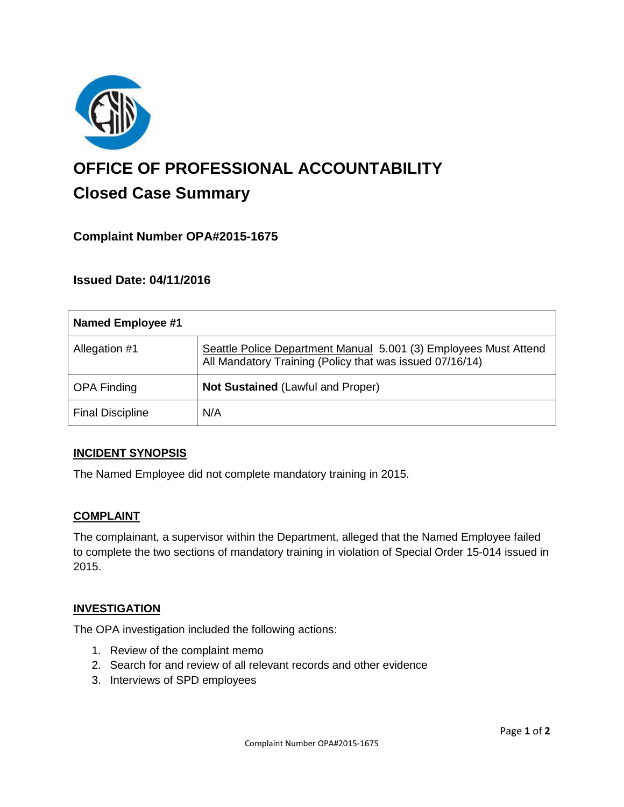

# **OFFICE OF PROFESSIONAL ACCOUNTABILITY Closed Case Summary**

# **Complaint Number OPA#2015-1675**

## **Issued Date: 04/11/2016**

| <b>Named Employee #1</b> |                                                                                                                              |
|--------------------------|------------------------------------------------------------------------------------------------------------------------------|
| Allegation #1            | Seattle Police Department Manual 5.001 (3) Employees Must Attend<br>All Mandatory Training (Policy that was issued 07/16/14) |
| <b>OPA Finding</b>       | <b>Not Sustained (Lawful and Proper)</b>                                                                                     |
| <b>Final Discipline</b>  | N/A                                                                                                                          |

#### **INCIDENT SYNOPSIS**

The Named Employee did not complete mandatory training in 2015.

#### **COMPLAINT**

The complainant, a supervisor within the Department, alleged that the Named Employee failed to complete the two sections of mandatory training in violation of Special Order 15-014 issued in 2015.

#### **INVESTIGATION**

The OPA investigation included the following actions:

- 1. Review of the complaint memo
- 2. Search for and review of all relevant records and other evidence
- 3. Interviews of SPD employees